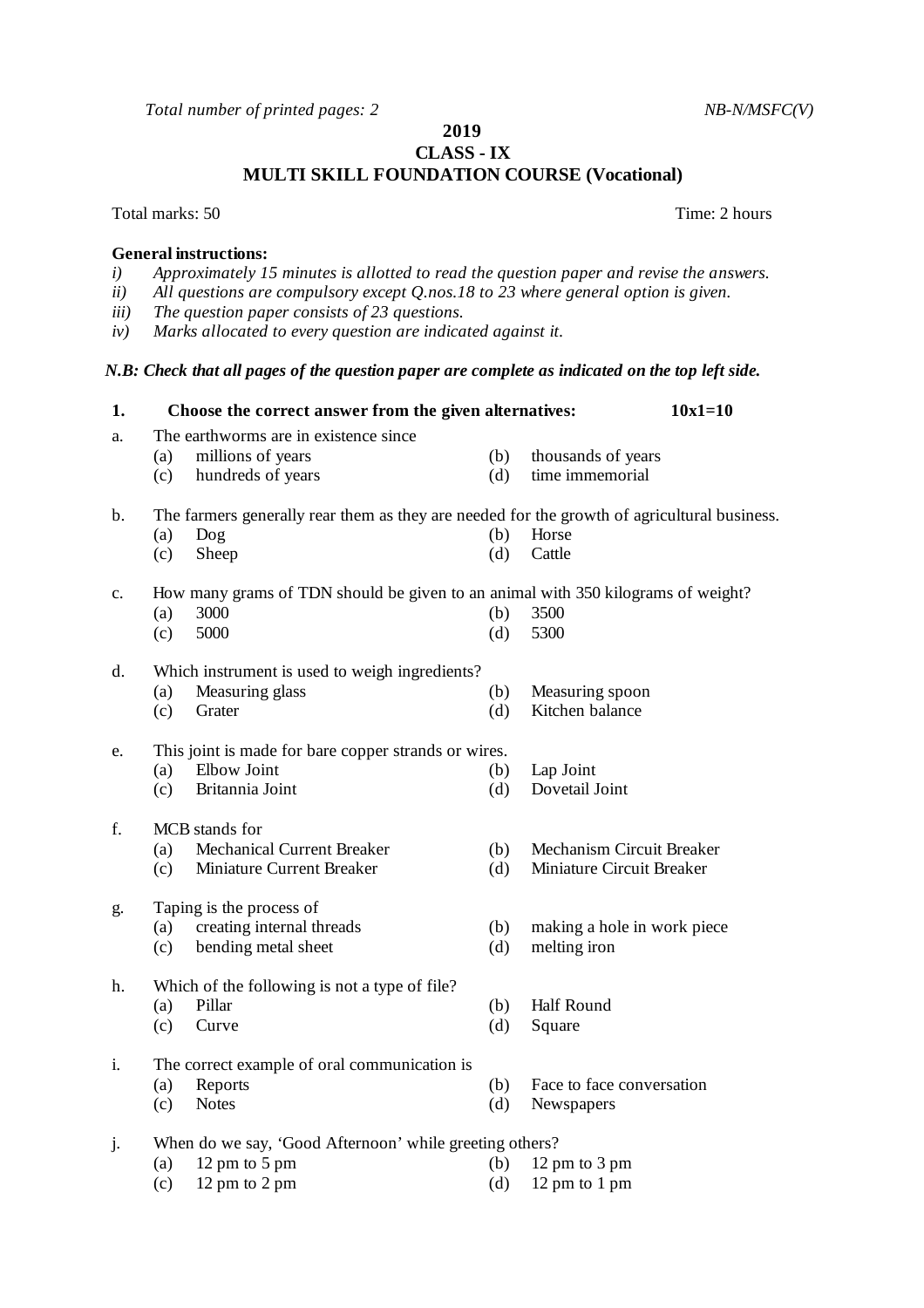*Total number of printed pages: 2 NB-N/MSFC(V)* 

**2019 CLASS - IX**

**MULTI SKILL FOUNDATION COURSE (Vocational)**

Total marks: 50 Time: 2 hours

## **General instructions:**

- *i) Approximately 15 minutes is allotted to read the question paper and revise the answers.*
- *ii) All questions are compulsory except Q.nos.18 to 23 where general option is given.*
- *iii) The question paper consists of 23 questions.*
- *iv) Marks allocated to every question are indicated against it.*

## *N.B: Check that all pages of the question paper are complete as indicated on the top left side.*

| 1.             | Choose the correct answer from the given alternatives:                                      |                                                                                  |            | $10x1=10$                                   |  |  |
|----------------|---------------------------------------------------------------------------------------------|----------------------------------------------------------------------------------|------------|---------------------------------------------|--|--|
| a.             |                                                                                             | The earthworms are in existence since                                            |            |                                             |  |  |
|                | (a)                                                                                         | millions of years                                                                | (b)        | thousands of years                          |  |  |
|                | (c)                                                                                         | hundreds of years                                                                | (d)        | time immemorial                             |  |  |
| b.             | The farmers generally rear them as they are needed for the growth of agricultural business. |                                                                                  |            |                                             |  |  |
|                | (a)                                                                                         | Dog                                                                              | (b)        | Horse                                       |  |  |
|                | (c)                                                                                         | Sheep                                                                            | (d)        | Cattle                                      |  |  |
| $\mathbf{c}$ . |                                                                                             | How many grams of TDN should be given to an animal with 350 kilograms of weight? |            |                                             |  |  |
|                | (a)                                                                                         | 3000                                                                             | (b)        | 3500                                        |  |  |
|                | (c)                                                                                         | 5000                                                                             | (d)        | 5300                                        |  |  |
| d.             | Which instrument is used to weigh ingredients?                                              |                                                                                  |            |                                             |  |  |
|                | (a)                                                                                         | Measuring glass                                                                  | (b)        | Measuring spoon                             |  |  |
|                | (c)                                                                                         | Grater                                                                           | (d)        | Kitchen balance                             |  |  |
| e.             | This joint is made for bare copper strands or wires.                                        |                                                                                  |            |                                             |  |  |
|                | (a)                                                                                         | Elbow Joint                                                                      | (b)        | Lap Joint                                   |  |  |
|                | (c)                                                                                         | Britannia Joint                                                                  | (d)        | Dovetail Joint                              |  |  |
| f.             |                                                                                             | MCB stands for                                                                   |            |                                             |  |  |
|                | (a)                                                                                         | <b>Mechanical Current Breaker</b>                                                | (b)        | Mechanism Circuit Breaker                   |  |  |
|                | (c)                                                                                         | Miniature Current Breaker                                                        | (d)        | Miniature Circuit Breaker                   |  |  |
|                |                                                                                             |                                                                                  |            |                                             |  |  |
| g.             |                                                                                             | Taping is the process of<br>creating internal threads                            |            |                                             |  |  |
|                | (a)<br>(c)                                                                                  | bending metal sheet                                                              | (b)<br>(d) | making a hole in work piece<br>melting iron |  |  |
|                |                                                                                             |                                                                                  |            |                                             |  |  |
| h.             |                                                                                             | Which of the following is not a type of file?                                    |            |                                             |  |  |
|                | (a)                                                                                         | Pillar                                                                           | (b)        | Half Round                                  |  |  |
|                | (c)                                                                                         | Curve                                                                            | (d)        | Square                                      |  |  |
| i.             |                                                                                             | The correct example of oral communication is                                     |            |                                             |  |  |
|                | (a)                                                                                         | Reports                                                                          | (b)        | Face to face conversation                   |  |  |
|                | (c)                                                                                         | <b>Notes</b>                                                                     | (d)        | Newspapers                                  |  |  |
| j.             | When do we say, 'Good Afternoon' while greeting others?                                     |                                                                                  |            |                                             |  |  |
|                | (a)                                                                                         | 12 pm to 5 pm                                                                    | (b)        | 12 pm to 3 pm                               |  |  |
|                | (c)                                                                                         | 12 pm to 2 pm                                                                    | (d)        | 12 pm to 1 pm                               |  |  |
|                |                                                                                             |                                                                                  |            |                                             |  |  |